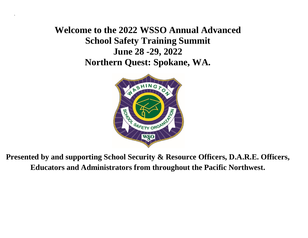**Welcome to the 2022 WSSO Annual Advanced School Safety Training Summit June 28 -29, 2022 Northern Quest: Spokane, WA.**

`



**Presented by and supporting School Security & Resource Officers, D.A.R.E. Officers, Educators and Administrators from throughout the Pacific Northwest.**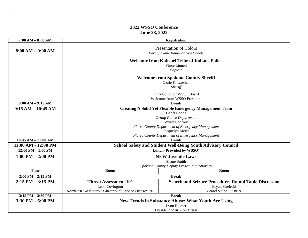## **2022 WSSO Conference June 28, 2022**

 $\ddot{\phantom{0}}$ 

|                                                                                  | <b>Registration</b>                                                                                             |  |
|----------------------------------------------------------------------------------|-----------------------------------------------------------------------------------------------------------------|--|
| <b>Presentation of Colors</b><br>Fort Spokane Battalion Sea Cadets               |                                                                                                                 |  |
| <b>Welcome from Kalispel Tribe of Indians Police</b><br>Vince Linnell<br>Captain |                                                                                                                 |  |
| <b>Welcome from Spokane County Sheriff</b><br>Ozzie Knezovich<br>Sheriff         |                                                                                                                 |  |
| Introduction of WSSO Board<br>Welcome from WSSO President                        |                                                                                                                 |  |
| <b>Break</b>                                                                     |                                                                                                                 |  |
| <b>Creating A Solid Yet Flexible Emergency Management Team</b>                   |                                                                                                                 |  |
| <b>Geoff Boone</b>                                                               |                                                                                                                 |  |
| <b>Orting Police Department</b>                                                  |                                                                                                                 |  |
| <b>Wyatt Godfrey</b><br>Pierce County Department of Emergency Management         |                                                                                                                 |  |
| Jacquelyn Meier                                                                  |                                                                                                                 |  |
| Pierce County Department of Emergency Management                                 |                                                                                                                 |  |
| <b>Break</b>                                                                     |                                                                                                                 |  |
| <b>School Safety and Student Well-Being Youth Advisory Council</b>               |                                                                                                                 |  |
| Lunch (Provided by WSSO)                                                         |                                                                                                                 |  |
| <b>NEW Juvenile Laws</b>                                                         |                                                                                                                 |  |
| Shane Smith                                                                      |                                                                                                                 |  |
| Spokane County Deputy Prosecuting Attorney                                       |                                                                                                                 |  |
|                                                                                  | Room                                                                                                            |  |
| <b>Break</b>                                                                     |                                                                                                                 |  |
|                                                                                  | <b>Search and Seizure Procedures Round Table Discussion</b>                                                     |  |
|                                                                                  | Bryan Streleski                                                                                                 |  |
|                                                                                  | <b>Bethel School District</b>                                                                                   |  |
|                                                                                  | <b>Break</b>                                                                                                    |  |
|                                                                                  | <b>New Trends in Substance Abuse: What Youth Are Using</b>                                                      |  |
| Lynn Riemer<br>President of ACT on Drugs                                         |                                                                                                                 |  |
|                                                                                  | Room<br><b>Threat Assessment 101</b><br>Leon Covington<br>Northeast Washington Educational Service District 101 |  |